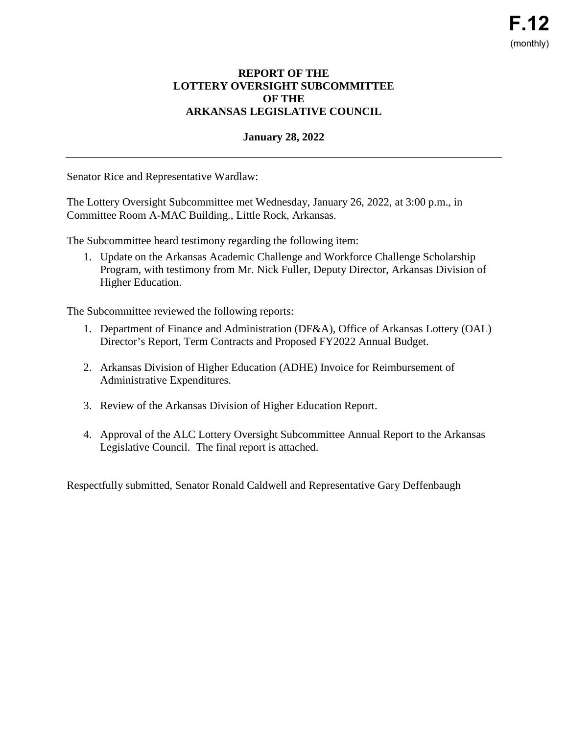## **REPORT OF THE LOTTERY OVERSIGHT SUBCOMMITTEE OF THE ARKANSAS LEGISLATIVE COUNCIL**

## **January 28, 2022**

Senator Rice and Representative Wardlaw:

The Lottery Oversight Subcommittee met Wednesday, January 26, 2022, at 3:00 p.m., in Committee Room A-MAC Building., Little Rock, Arkansas.

The Subcommittee heard testimony regarding the following item:

1. Update on the Arkansas Academic Challenge and Workforce Challenge Scholarship Program, with testimony from Mr. Nick Fuller, Deputy Director, Arkansas Division of Higher Education.

The Subcommittee reviewed the following reports:

- 1. Department of Finance and Administration (DF&A), Office of Arkansas Lottery (OAL) Director's Report, Term Contracts and Proposed FY2022 Annual Budget.
- 2. Arkansas Division of Higher Education (ADHE) Invoice for Reimbursement of Administrative Expenditures.
- 3. Review of the Arkansas Division of Higher Education Report.
- 4. Approval of the ALC Lottery Oversight Subcommittee Annual Report to the Arkansas Legislative Council. The final report is attached.

Respectfully submitted, Senator Ronald Caldwell and Representative Gary Deffenbaugh